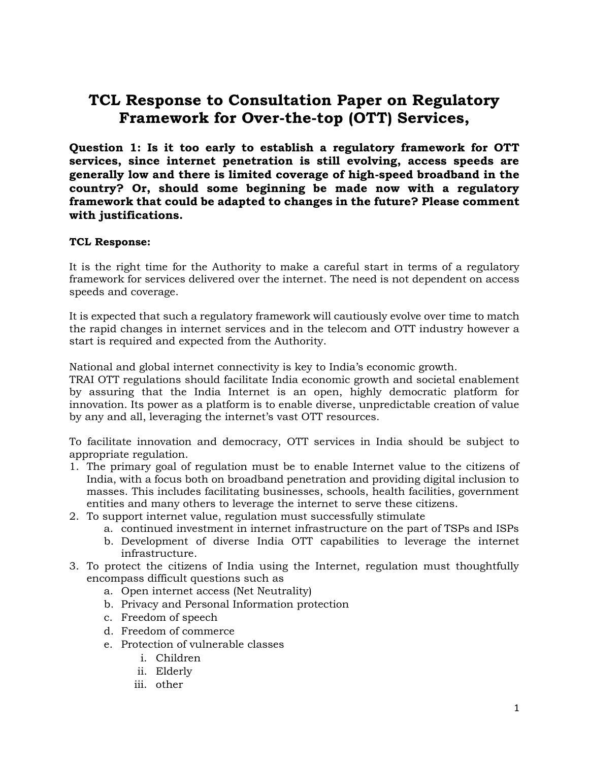# **TCL Response to Consultation Paper on Regulatory Framework for Over-the-top (OTT) Services,**

**Question 1: Is it too early to establish a regulatory framework for OTT services, since internet penetration is still evolving, access speeds are generally low and there is limited coverage of high-speed broadband in the country? Or, should some beginning be made now with a regulatory framework that could be adapted to changes in the future? Please comment with justifications.**

## **TCL Response:**

It is the right time for the Authority to make a careful start in terms of a regulatory framework for services delivered over the internet. The need is not dependent on access speeds and coverage.

It is expected that such a regulatory framework will cautiously evolve over time to match the rapid changes in internet services and in the telecom and OTT industry however a start is required and expected from the Authority.

National and global internet connectivity is key to India's economic growth.

TRAI OTT regulations should facilitate India economic growth and societal enablement by assuring that the India Internet is an open, highly democratic platform for innovation. Its power as a platform is to enable diverse, unpredictable creation of value by any and all, leveraging the internet's vast OTT resources.

To facilitate innovation and democracy, OTT services in India should be subject to appropriate regulation.

- 1. The primary goal of regulation must be to enable Internet value to the citizens of India, with a focus both on broadband penetration and providing digital inclusion to masses. This includes facilitating businesses, schools, health facilities, government entities and many others to leverage the internet to serve these citizens.
- 2. To support internet value, regulation must successfully stimulate
	- a. continued investment in internet infrastructure on the part of TSPs and ISPs
	- b. Development of diverse India OTT capabilities to leverage the internet infrastructure.
- 3. To protect the citizens of India using the Internet, regulation must thoughtfully encompass difficult questions such as
	- a. Open internet access (Net Neutrality)
	- b. Privacy and Personal Information protection
	- c. Freedom of speech
	- d. Freedom of commerce
	- e. Protection of vulnerable classes
		- i. Children
		- ii. Elderly
		- iii. other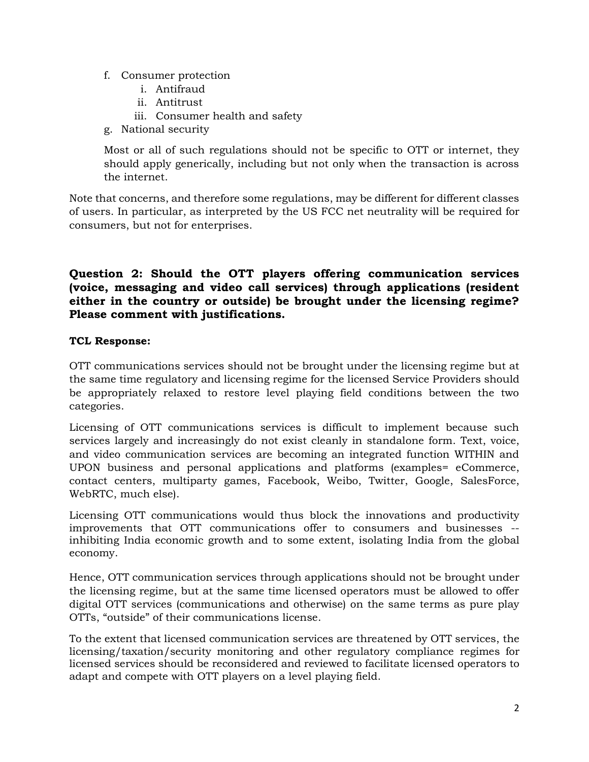- f. Consumer protection
	- i. Antifraud
	- ii. Antitrust
	- iii. Consumer health and safety
- g. National security

Most or all of such regulations should not be specific to OTT or internet, they should apply generically, including but not only when the transaction is across the internet.

Note that concerns, and therefore some regulations, may be different for different classes of users. In particular, as interpreted by the US FCC net neutrality will be required for consumers, but not for enterprises.

# **Question 2: Should the OTT players offering communication services (voice, messaging and video call services) through applications (resident either in the country or outside) be brought under the licensing regime? Please comment with justifications.**

# **TCL Response:**

OTT communications services should not be brought under the licensing regime but at the same time regulatory and licensing regime for the licensed Service Providers should be appropriately relaxed to restore level playing field conditions between the two categories.

Licensing of OTT communications services is difficult to implement because such services largely and increasingly do not exist cleanly in standalone form. Text, voice, and video communication services are becoming an integrated function WITHIN and UPON business and personal applications and platforms (examples= eCommerce, contact centers, multiparty games, Facebook, Weibo, Twitter, Google, SalesForce, WebRTC, much else).

Licensing OTT communications would thus block the innovations and productivity improvements that OTT communications offer to consumers and businesses - inhibiting India economic growth and to some extent, isolating India from the global economy.

Hence, OTT communication services through applications should not be brought under the licensing regime, but at the same time licensed operators must be allowed to offer digital OTT services (communications and otherwise) on the same terms as pure play OTTs, "outside" of their communications license.

To the extent that licensed communication services are threatened by OTT services, the licensing/taxation/security monitoring and other regulatory compliance regimes for licensed services should be reconsidered and reviewed to facilitate licensed operators to adapt and compete with OTT players on a level playing field.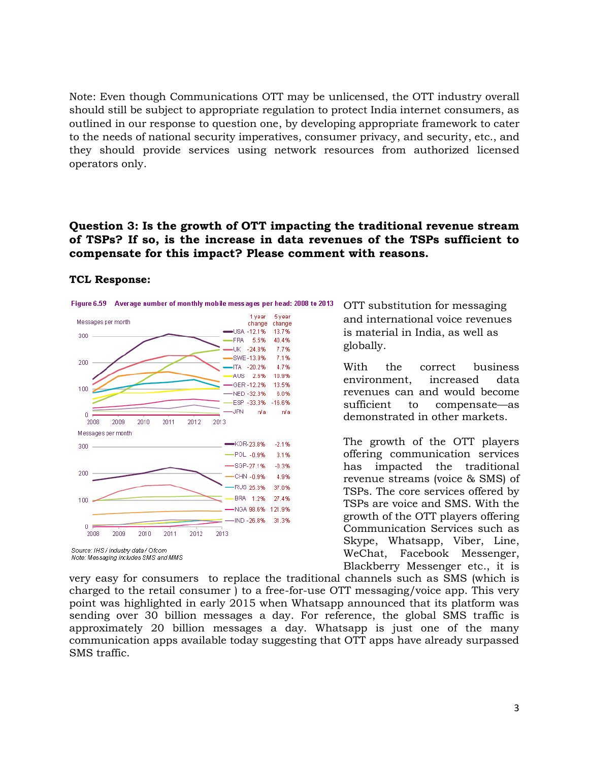Note: Even though Communications OTT may be unlicensed, the OTT industry overall should still be subject to appropriate regulation to protect India internet consumers, as outlined in our response to question one, by developing appropriate framework to cater to the needs of national security imperatives, consumer privacy, and security, etc., and they should provide services using network resources from authorized licensed operators only.

# **Question 3: Is the growth of OTT impacting the traditional revenue stream of TSPs? If so, is the increase in data revenues of the TSPs sufficient to compensate for this impact? Please comment with reasons.**

#### **TCL Response:**





Source: IHS / industry data / Ofcom Note: Messaging includes SMS and MMS

OTT substitution for messaging and international voice revenues is material in India, as well as globally.

With the correct business environment, increased data revenues can and would become sufficient to compensate—as demonstrated in other markets.

The growth of the OTT players offering communication services has impacted the traditional revenue streams (voice & SMS) of TSPs. The core services offered by TSPs are voice and SMS. With the growth of the OTT players offering Communication Services such as Skype, Whatsapp, Viber, Line, WeChat, Facebook Messenger, Blackberry Messenger etc., it is

very easy for consumers to replace the traditional channels such as SMS (which is charged to the retail consumer ) to a free-for-use OTT messaging/voice app. This very point was highlighted in early 2015 when Whatsapp announced that its platform was sending over 30 billion messages a day. For reference, the global SMS traffic is approximately 20 billion messages a day. Whatsapp is just one of the many communication apps available today suggesting that OTT apps have already surpassed SMS traffic.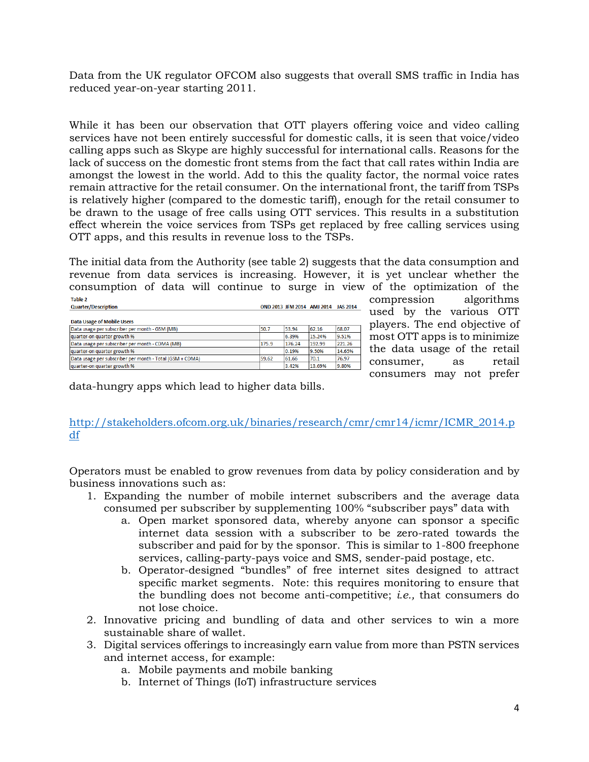Data from the UK regulator OFCOM also suggests that overall SMS traffic in India has reduced year-on-year starting 2011.

While it has been our observation that OTT players offering voice and video calling services have not been entirely successful for domestic calls, it is seen that voice/video calling apps such as Skype are highly successful for international calls. Reasons for the lack of success on the domestic front stems from the fact that call rates within India are amongst the lowest in the world. Add to this the quality factor, the normal voice rates remain attractive for the retail consumer. On the international front, the tariff from TSPs is relatively higher (compared to the domestic tariff), enough for the retail consumer to be drawn to the usage of free calls using OTT services. This results in a substitution effect wherein the voice services from TSPs get replaced by free calling services using OTT apps, and this results in revenue loss to the TSPs.

The initial data from the Authority (see table 2) suggests that the data consumption and revenue from data services is increasing. However, it is yet unclear whether the consumption of data will continue to surge in view of the optimization of the Table 2

| <b>Quarter/Description</b>                               |       | OND 2013 JFM 2014 AMJ 2014 |        | <b>JAS 2014</b> |
|----------------------------------------------------------|-------|----------------------------|--------|-----------------|
| <b>Data Usage of Mobile Users</b>                        |       |                            |        |                 |
| Data usage per subscriber per month - GSM (MB)           | 50.7  | 53.94                      | 62.16  | 68.07           |
| quarter-on quarter growth %                              |       | 6.39%                      | 15.24% | 9.51%           |
| Data usage per subscriber per month - CDMA (MB)          | 175.9 | 176.24                     | 192.99 | 221.26          |
| quarter-on quarter growth %                              |       | 0.19%                      | 9.50%  | 14.65%          |
| Data usage per subscriber per month - Total (GSM + CDMA) | 59.62 | 61.66                      | 70.1   | 76.97           |
| quarter-on quarter growth %                              |       | 3.42%                      | 13.69% | 9.80%           |

compression algorithms used by the various OTT players. The end objective of most OTT apps is to minimize the data usage of the retail consumer, as retail consumers may not prefer

data-hungry apps which lead to higher data bills.

## [http://stakeholders.ofcom.org.uk/binaries/research/cmr/cmr14/icmr/ICMR\\_2014.p](http://stakeholders.ofcom.org.uk/binaries/research/cmr/cmr14/icmr/ICMR_2014.pdf) [df](http://stakeholders.ofcom.org.uk/binaries/research/cmr/cmr14/icmr/ICMR_2014.pdf)

Operators must be enabled to grow revenues from data by policy consideration and by business innovations such as:

- 1. Expanding the number of mobile internet subscribers and the average data consumed per subscriber by supplementing 100% "subscriber pays" data with
	- a. Open market sponsored data, whereby anyone can sponsor a specific internet data session with a subscriber to be zero-rated towards the subscriber and paid for by the sponsor. This is similar to 1-800 freephone services, calling-party-pays voice and SMS, sender-paid postage, etc.
	- b. Operator-designed "bundles" of free internet sites designed to attract specific market segments. Note: this requires monitoring to ensure that the bundling does not become anti-competitive; *i.e.,* that consumers do not lose choice.
- 2. Innovative pricing and bundling of data and other services to win a more sustainable share of wallet.
- 3. Digital services offerings to increasingly earn value from more than PSTN services and internet access, for example:
	- a. Mobile payments and mobile banking
	- b. Internet of Things (IoT) infrastructure services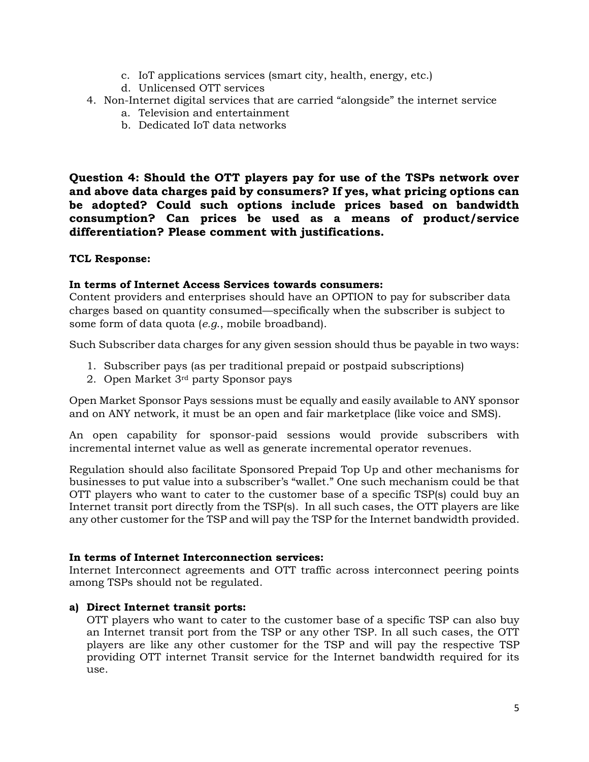- c. IoT applications services (smart city, health, energy, etc.)
- d. Unlicensed OTT services
- 4. Non-Internet digital services that are carried "alongside" the internet service
	- a. Television and entertainment
	- b. Dedicated IoT data networks

**Question 4: Should the OTT players pay for use of the TSPs network over and above data charges paid by consumers? If yes, what pricing options can be adopted? Could such options include prices based on bandwidth consumption? Can prices be used as a means of product/service differentiation? Please comment with justifications.**

#### **TCL Response:**

#### **In terms of Internet Access Services towards consumers:**

Content providers and enterprises should have an OPTION to pay for subscriber data charges based on quantity consumed—specifically when the subscriber is subject to some form of data quota (*e.g*., mobile broadband).

Such Subscriber data charges for any given session should thus be payable in two ways:

- 1. Subscriber pays (as per traditional prepaid or postpaid subscriptions)
- 2. Open Market 3rd party Sponsor pays

Open Market Sponsor Pays sessions must be equally and easily available to ANY sponsor and on ANY network, it must be an open and fair marketplace (like voice and SMS).

An open capability for sponsor-paid sessions would provide subscribers with incremental internet value as well as generate incremental operator revenues.

Regulation should also facilitate Sponsored Prepaid Top Up and other mechanisms for businesses to put value into a subscriber's "wallet." One such mechanism could be that OTT players who want to cater to the customer base of a specific TSP(s) could buy an Internet transit port directly from the TSP(s). In all such cases, the OTT players are like any other customer for the TSP and will pay the TSP for the Internet bandwidth provided.

#### **In terms of Internet Interconnection services:**

Internet Interconnect agreements and OTT traffic across interconnect peering points among TSPs should not be regulated.

#### **a) Direct Internet transit ports:**

OTT players who want to cater to the customer base of a specific TSP can also buy an Internet transit port from the TSP or any other TSP. In all such cases, the OTT players are like any other customer for the TSP and will pay the respective TSP providing OTT internet Transit service for the Internet bandwidth required for its use.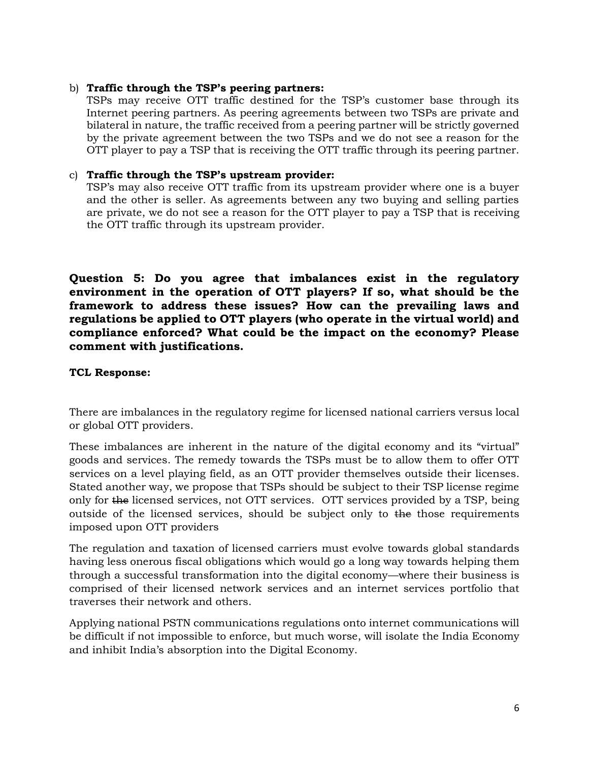#### b) **Traffic through the TSP's peering partners:**

TSPs may receive OTT traffic destined for the TSP's customer base through its Internet peering partners. As peering agreements between two TSPs are private and bilateral in nature, the traffic received from a peering partner will be strictly governed by the private agreement between the two TSPs and we do not see a reason for the OTT player to pay a TSP that is receiving the OTT traffic through its peering partner.

#### c) **Traffic through the TSP's upstream provider:**

TSP's may also receive OTT traffic from its upstream provider where one is a buyer and the other is seller. As agreements between any two buying and selling parties are private, we do not see a reason for the OTT player to pay a TSP that is receiving the OTT traffic through its upstream provider.

**Question 5: Do you agree that imbalances exist in the regulatory environment in the operation of OTT players? If so, what should be the framework to address these issues? How can the prevailing laws and regulations be applied to OTT players (who operate in the virtual world) and compliance enforced? What could be the impact on the economy? Please comment with justifications.**

## **TCL Response:**

There are imbalances in the regulatory regime for licensed national carriers versus local or global OTT providers.

These imbalances are inherent in the nature of the digital economy and its "virtual" goods and services. The remedy towards the TSPs must be to allow them to offer OTT services on a level playing field, as an OTT provider themselves outside their licenses. Stated another way, we propose that TSPs should be subject to their TSP license regime only for the licensed services, not OTT services. OTT services provided by a TSP, being outside of the licensed services, should be subject only to the those requirements imposed upon OTT providers

The regulation and taxation of licensed carriers must evolve towards global standards having less onerous fiscal obligations which would go a long way towards helping them through a successful transformation into the digital economy—where their business is comprised of their licensed network services and an internet services portfolio that traverses their network and others.

Applying national PSTN communications regulations onto internet communications will be difficult if not impossible to enforce, but much worse, will isolate the India Economy and inhibit India's absorption into the Digital Economy.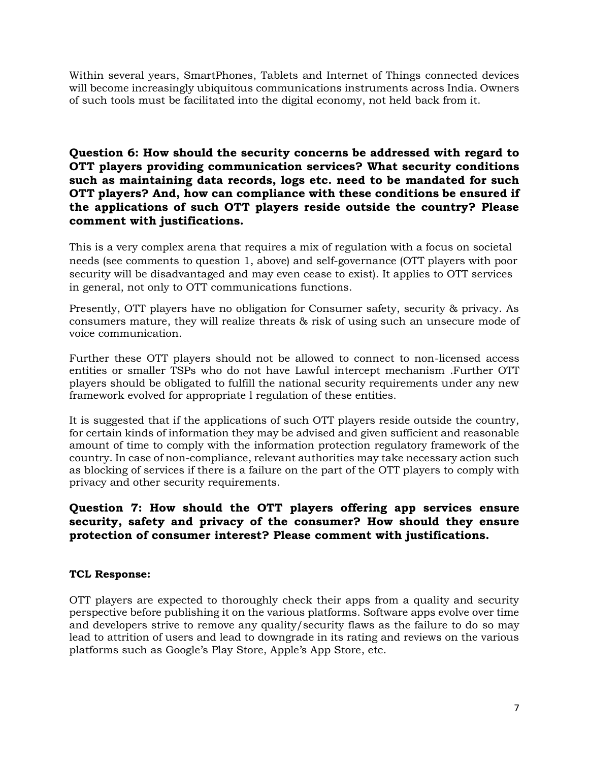Within several years, SmartPhones, Tablets and Internet of Things connected devices will become increasingly ubiquitous communications instruments across India. Owners of such tools must be facilitated into the digital economy, not held back from it.

**Question 6: How should the security concerns be addressed with regard to OTT players providing communication services? What security conditions such as maintaining data records, logs etc. need to be mandated for such OTT players? And, how can compliance with these conditions be ensured if the applications of such OTT players reside outside the country? Please comment with justifications.**

This is a very complex arena that requires a mix of regulation with a focus on societal needs (see comments to question 1, above) and self-governance (OTT players with poor security will be disadvantaged and may even cease to exist). It applies to OTT services in general, not only to OTT communications functions.

Presently, OTT players have no obligation for Consumer safety, security & privacy. As consumers mature, they will realize threats & risk of using such an unsecure mode of voice communication.

Further these OTT players should not be allowed to connect to non-licensed access entities or smaller TSPs who do not have Lawful intercept mechanism .Further OTT players should be obligated to fulfill the national security requirements under any new framework evolved for appropriate l regulation of these entities.

It is suggested that if the applications of such OTT players reside outside the country, for certain kinds of information they may be advised and given sufficient and reasonable amount of time to comply with the information protection regulatory framework of the country. In case of non-compliance, relevant authorities may take necessary action such as blocking of services if there is a failure on the part of the OTT players to comply with privacy and other security requirements.

**Question 7: How should the OTT players offering app services ensure security, safety and privacy of the consumer? How should they ensure protection of consumer interest? Please comment with justifications.**

## **TCL Response:**

OTT players are expected to thoroughly check their apps from a quality and security perspective before publishing it on the various platforms. Software apps evolve over time and developers strive to remove any quality/security flaws as the failure to do so may lead to attrition of users and lead to downgrade in its rating and reviews on the various platforms such as Google's Play Store, Apple's App Store, etc.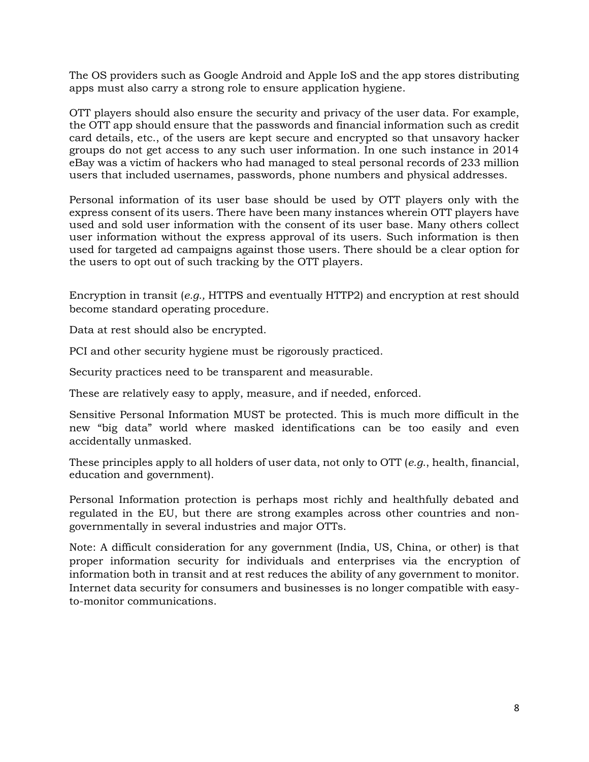The OS providers such as Google Android and Apple IoS and the app stores distributing apps must also carry a strong role to ensure application hygiene.

OTT players should also ensure the security and privacy of the user data. For example, the OTT app should ensure that the passwords and financial information such as credit card details, etc., of the users are kept secure and encrypted so that unsavory hacker groups do not get access to any such user information. In one such instance in 2014 eBay was a victim of hackers who had managed to steal personal records of 233 million users that included usernames, passwords, phone numbers and physical addresses.

Personal information of its user base should be used by OTT players only with the express consent of its users. There have been many instances wherein OTT players have used and sold user information with the consent of its user base. Many others collect user information without the express approval of its users. Such information is then used for targeted ad campaigns against those users. There should be a clear option for the users to opt out of such tracking by the OTT players.

Encryption in transit (*e.g.,* HTTPS and eventually HTTP2) and encryption at rest should become standard operating procedure.

Data at rest should also be encrypted.

PCI and other security hygiene must be rigorously practiced.

Security practices need to be transparent and measurable.

These are relatively easy to apply, measure, and if needed, enforced.

Sensitive Personal Information MUST be protected. This is much more difficult in the new "big data" world where masked identifications can be too easily and even accidentally unmasked.

These principles apply to all holders of user data, not only to OTT (*e.g*., health, financial, education and government).

Personal Information protection is perhaps most richly and healthfully debated and regulated in the EU, but there are strong examples across other countries and nongovernmentally in several industries and major OTTs.

Note: A difficult consideration for any government (India, US, China, or other) is that proper information security for individuals and enterprises via the encryption of information both in transit and at rest reduces the ability of any government to monitor. Internet data security for consumers and businesses is no longer compatible with easyto-monitor communications.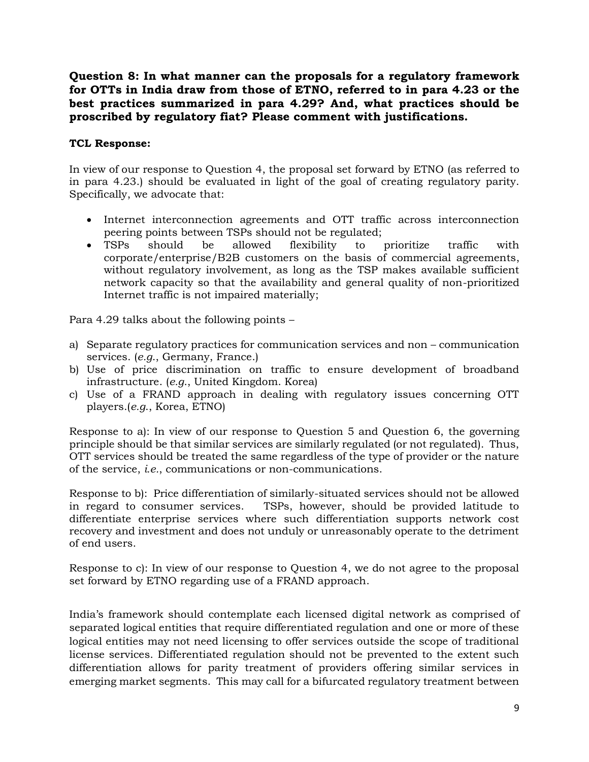**Question 8: In what manner can the proposals for a regulatory framework for OTTs in India draw from those of ETNO, referred to in para 4.23 or the best practices summarized in para 4.29? And, what practices should be proscribed by regulatory fiat? Please comment with justifications.**

# **TCL Response:**

In view of our response to Question 4, the proposal set forward by ETNO (as referred to in para 4.23.) should be evaluated in light of the goal of creating regulatory parity. Specifically, we advocate that:

- Internet interconnection agreements and OTT traffic across interconnection peering points between TSPs should not be regulated;
- TSPs should be allowed flexibility to prioritize traffic with corporate/enterprise/B2B customers on the basis of commercial agreements, without regulatory involvement, as long as the TSP makes available sufficient network capacity so that the availability and general quality of non-prioritized Internet traffic is not impaired materially;

Para 4.29 talks about the following points –

- a) Separate regulatory practices for communication services and non communication services. (*e.g*., Germany, France.)
- b) Use of price discrimination on traffic to ensure development of broadband infrastructure. (*e.g*., United Kingdom. Korea)
- c) Use of a FRAND approach in dealing with regulatory issues concerning OTT players.(*e.g*., Korea, ETNO)

Response to a): In view of our response to Question 5 and Question 6, the governing principle should be that similar services are similarly regulated (or not regulated). Thus, OTT services should be treated the same regardless of the type of provider or the nature of the service, *i.e.*, communications or non-communications.

Response to b): Price differentiation of similarly-situated services should not be allowed in regard to consumer services. TSPs, however, should be provided latitude to differentiate enterprise services where such differentiation supports network cost recovery and investment and does not unduly or unreasonably operate to the detriment of end users.

Response to c): In view of our response to Question 4, we do not agree to the proposal set forward by ETNO regarding use of a FRAND approach.

India's framework should contemplate each licensed digital network as comprised of separated logical entities that require differentiated regulation and one or more of these logical entities may not need licensing to offer services outside the scope of traditional license services. Differentiated regulation should not be prevented to the extent such differentiation allows for parity treatment of providers offering similar services in emerging market segments. This may call for a bifurcated regulatory treatment between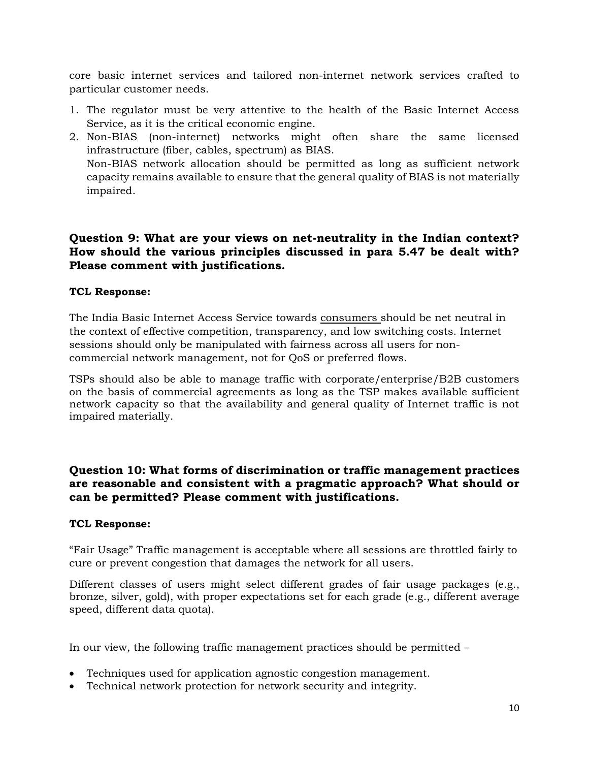core basic internet services and tailored non-internet network services crafted to particular customer needs.

- 1. The regulator must be very attentive to the health of the Basic Internet Access Service, as it is the critical economic engine.
- 2. Non-BIAS (non-internet) networks might often share the same licensed infrastructure (fiber, cables, spectrum) as BIAS. Non-BIAS network allocation should be permitted as long as sufficient network capacity remains available to ensure that the general quality of BIAS is not materially impaired.

# **Question 9: What are your views on net-neutrality in the Indian context? How should the various principles discussed in para 5.47 be dealt with? Please comment with justifications.**

## **TCL Response:**

The India Basic Internet Access Service towards consumers should be net neutral in the context of effective competition, transparency, and low switching costs. Internet sessions should only be manipulated with fairness across all users for noncommercial network management, not for QoS or preferred flows.

TSPs should also be able to manage traffic with corporate/enterprise/B2B customers on the basis of commercial agreements as long as the TSP makes available sufficient network capacity so that the availability and general quality of Internet traffic is not impaired materially.

# **Question 10: What forms of discrimination or traffic management practices are reasonable and consistent with a pragmatic approach? What should or can be permitted? Please comment with justifications.**

#### **TCL Response:**

"Fair Usage" Traffic management is acceptable where all sessions are throttled fairly to cure or prevent congestion that damages the network for all users.

Different classes of users might select different grades of fair usage packages (e.g., bronze, silver, gold), with proper expectations set for each grade (e.g., different average speed, different data quota).

In our view, the following traffic management practices should be permitted –

- Techniques used for application agnostic congestion management.
- Technical network protection for network security and integrity.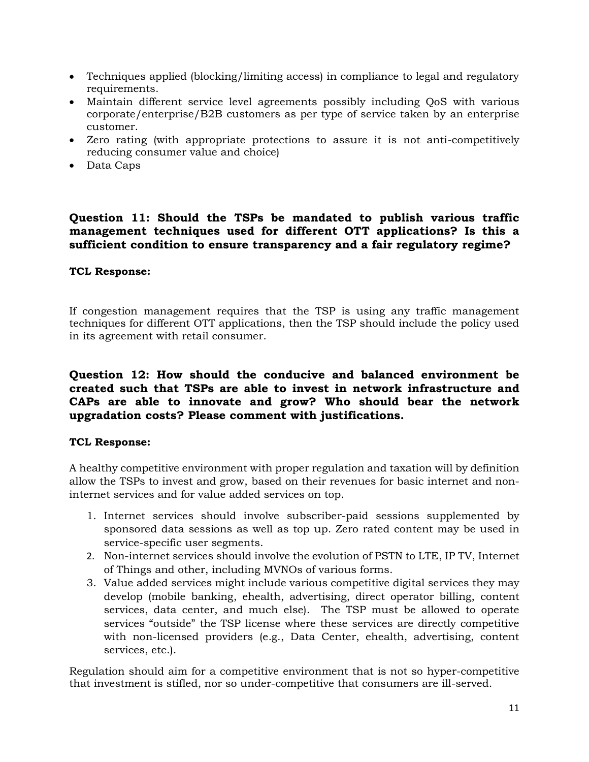- Techniques applied (blocking/limiting access) in compliance to legal and regulatory requirements.
- Maintain different service level agreements possibly including QoS with various corporate/enterprise/B2B customers as per type of service taken by an enterprise customer.
- Zero rating (with appropriate protections to assure it is not anti-competitively reducing consumer value and choice)
- Data Caps

# **Question 11: Should the TSPs be mandated to publish various traffic management techniques used for different OTT applications? Is this a sufficient condition to ensure transparency and a fair regulatory regime?**

## **TCL Response:**

If congestion management requires that the TSP is using any traffic management techniques for different OTT applications, then the TSP should include the policy used in its agreement with retail consumer.

# **Question 12: How should the conducive and balanced environment be created such that TSPs are able to invest in network infrastructure and CAPs are able to innovate and grow? Who should bear the network upgradation costs? Please comment with justifications.**

## **TCL Response:**

A healthy competitive environment with proper regulation and taxation will by definition allow the TSPs to invest and grow, based on their revenues for basic internet and noninternet services and for value added services on top.

- 1. Internet services should involve subscriber-paid sessions supplemented by sponsored data sessions as well as top up. Zero rated content may be used in service-specific user segments.
- 2. Non-internet services should involve the evolution of PSTN to LTE, IP TV, Internet of Things and other, including MVNOs of various forms.
- 3. Value added services might include various competitive digital services they may develop (mobile banking, ehealth, advertising, direct operator billing, content services, data center, and much else). The TSP must be allowed to operate services "outside" the TSP license where these services are directly competitive with non-licensed providers (e.g., Data Center, ehealth, advertising, content services, etc.).

Regulation should aim for a competitive environment that is not so hyper-competitive that investment is stifled, nor so under-competitive that consumers are ill-served.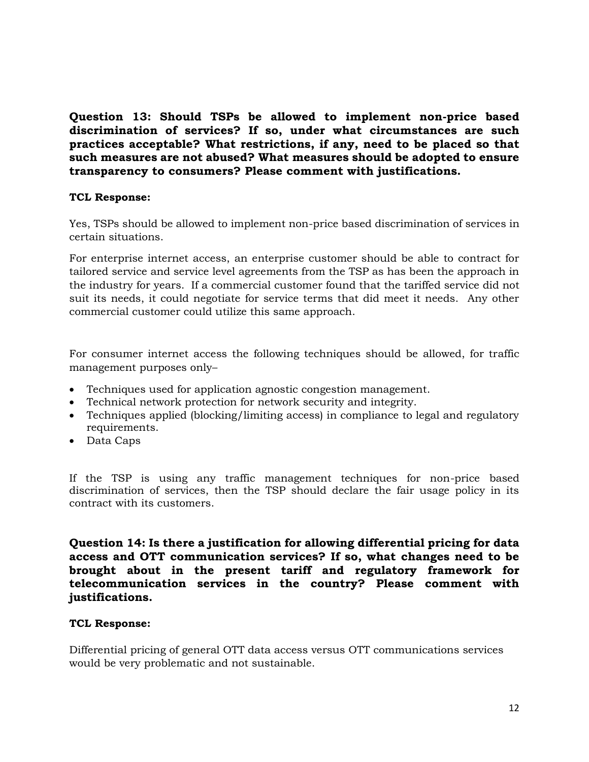**Question 13: Should TSPs be allowed to implement non-price based discrimination of services? If so, under what circumstances are such practices acceptable? What restrictions, if any, need to be placed so that such measures are not abused? What measures should be adopted to ensure transparency to consumers? Please comment with justifications.**

## **TCL Response:**

Yes, TSPs should be allowed to implement non-price based discrimination of services in certain situations.

For enterprise internet access, an enterprise customer should be able to contract for tailored service and service level agreements from the TSP as has been the approach in the industry for years. If a commercial customer found that the tariffed service did not suit its needs, it could negotiate for service terms that did meet it needs. Any other commercial customer could utilize this same approach.

For consumer internet access the following techniques should be allowed, for traffic management purposes only–

- Techniques used for application agnostic congestion management.
- Technical network protection for network security and integrity.
- Techniques applied (blocking/limiting access) in compliance to legal and regulatory requirements.
- Data Caps

If the TSP is using any traffic management techniques for non-price based discrimination of services, then the TSP should declare the fair usage policy in its contract with its customers.

**Question 14: Is there a justification for allowing differential pricing for data access and OTT communication services? If so, what changes need to be brought about in the present tariff and regulatory framework for telecommunication services in the country? Please comment with justifications.**

#### **TCL Response:**

Differential pricing of general OTT data access versus OTT communications services would be very problematic and not sustainable.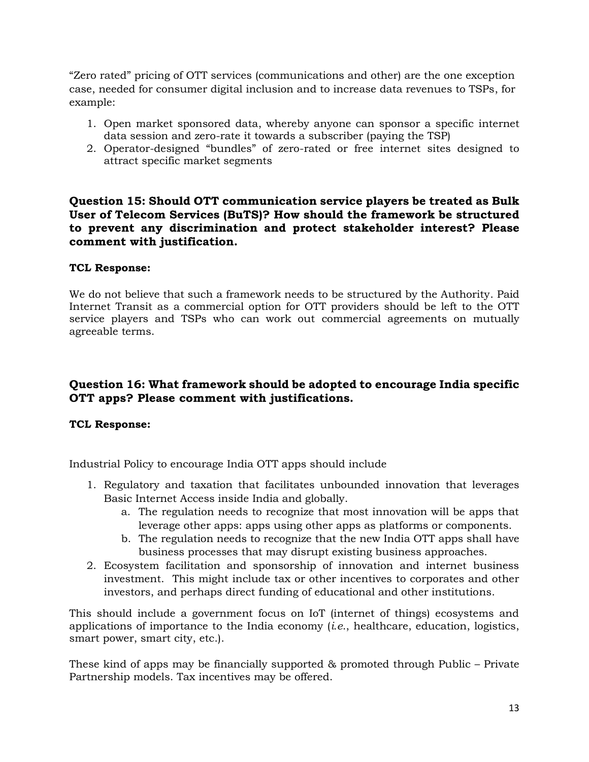"Zero rated" pricing of OTT services (communications and other) are the one exception case, needed for consumer digital inclusion and to increase data revenues to TSPs, for example:

- 1. Open market sponsored data, whereby anyone can sponsor a specific internet data session and zero-rate it towards a subscriber (paying the TSP)
- 2. Operator-designed "bundles" of zero-rated or free internet sites designed to attract specific market segments

# **Question 15: Should OTT communication service players be treated as Bulk User of Telecom Services (BuTS)? How should the framework be structured to prevent any discrimination and protect stakeholder interest? Please comment with justification.**

# **TCL Response:**

We do not believe that such a framework needs to be structured by the Authority. Paid Internet Transit as a commercial option for OTT providers should be left to the OTT service players and TSPs who can work out commercial agreements on mutually agreeable terms.

# **Question 16: What framework should be adopted to encourage India specific OTT apps? Please comment with justifications.**

## **TCL Response:**

Industrial Policy to encourage India OTT apps should include

- 1. Regulatory and taxation that facilitates unbounded innovation that leverages Basic Internet Access inside India and globally.
	- a. The regulation needs to recognize that most innovation will be apps that leverage other apps: apps using other apps as platforms or components.
	- b. The regulation needs to recognize that the new India OTT apps shall have business processes that may disrupt existing business approaches.
- 2. Ecosystem facilitation and sponsorship of innovation and internet business investment. This might include tax or other incentives to corporates and other investors, and perhaps direct funding of educational and other institutions.

This should include a government focus on IoT (internet of things) ecosystems and applications of importance to the India economy (*i.e*., healthcare, education, logistics, smart power, smart city, etc.).

These kind of apps may be financially supported & promoted through Public – Private Partnership models. Tax incentives may be offered.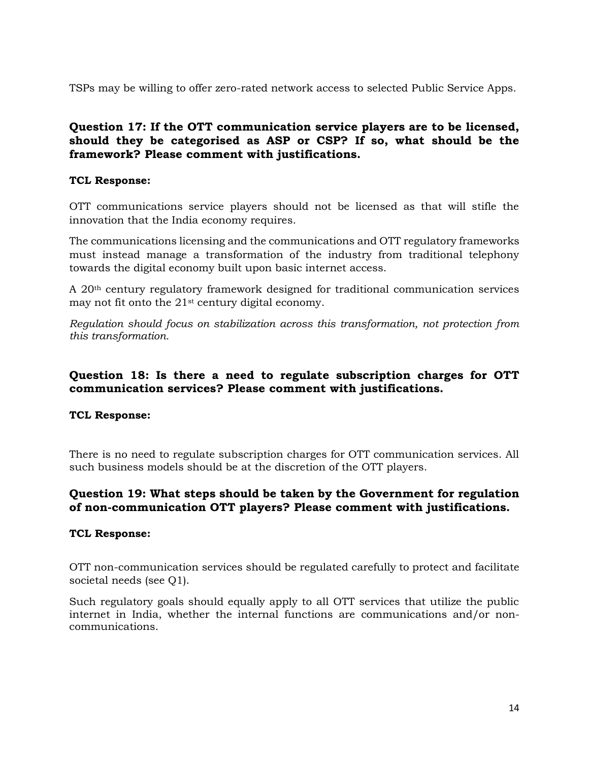TSPs may be willing to offer zero-rated network access to selected Public Service Apps.

# **Question 17: If the OTT communication service players are to be licensed, should they be categorised as ASP or CSP? If so, what should be the framework? Please comment with justifications.**

# **TCL Response:**

OTT communications service players should not be licensed as that will stifle the innovation that the India economy requires.

The communications licensing and the communications and OTT regulatory frameworks must instead manage a transformation of the industry from traditional telephony towards the digital economy built upon basic internet access.

A 20th century regulatory framework designed for traditional communication services may not fit onto the 21st century digital economy.

*Regulation should focus on stabilization across this transformation, not protection from this transformation.*

# **Question 18: Is there a need to regulate subscription charges for OTT communication services? Please comment with justifications.**

## **TCL Response:**

There is no need to regulate subscription charges for OTT communication services. All such business models should be at the discretion of the OTT players.

# **Question 19: What steps should be taken by the Government for regulation of non-communication OTT players? Please comment with justifications.**

## **TCL Response:**

OTT non-communication services should be regulated carefully to protect and facilitate societal needs (see Q1).

Such regulatory goals should equally apply to all OTT services that utilize the public internet in India, whether the internal functions are communications and/or noncommunications.